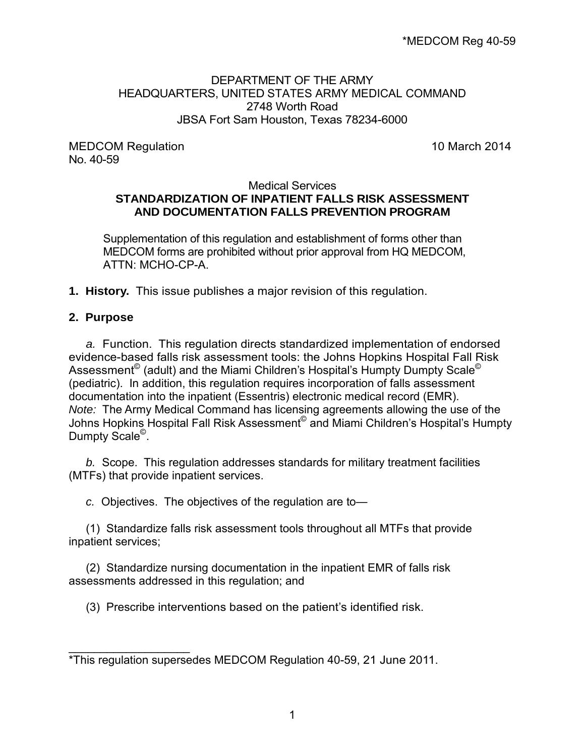#### DEPARTMENT OF THE ARMY HEADQUARTERS, UNITED STATES ARMY MEDICAL COMMAND 2748 Worth Road JBSA Fort Sam Houston, Texas 78234-6000

MEDCOM Regulation **10 March 2014** No. 40-59

#### Medical Services **STANDARDIZATION OF INPATIENT FALLS RISK ASSESSMENT AND DOCUMENTATION FALLS PREVENTION PROGRAM**

Supplementation of this regulation and establishment of forms other than MEDCOM forms are prohibited without prior approval from HQ MEDCOM, ATTN: MCHO-CP-A.

**1. History.** This issue publishes a major revision of this regulation.

#### **2. Purpose**

\_\_\_\_\_\_\_\_\_\_\_\_\_\_\_\_\_\_\_

*a.* Function. This regulation directs standardized implementation of endorsed evidence-based falls risk assessment tools: the Johns Hopkins Hospital Fall Risk Assessment<sup>©</sup> (adult) and the Miami Children's Hospital's Humpty Dumpty Scale<sup>©</sup> (pediatric). In addition, this regulation requires incorporation of falls assessment documentation into the inpatient (Essentris) electronic medical record (EMR). *Note:* The Army Medical Command has licensing agreements allowing the use of the Johns Hopkins Hospital Fall Risk Assessment<sup>©</sup> and Miami Children's Hospital's Humpty Dumpty Scale<sup>©</sup>.

*b.* Scope. This regulation addresses standards for military treatment facilities (MTFs) that provide inpatient services.

*c.* Objectives. The objectives of the regulation are to—

(1) Standardize falls risk assessment tools throughout all MTFs that provide inpatient services;

(2) Standardize nursing documentation in the inpatient EMR of falls risk assessments addressed in this regulation; and

(3) Prescribe interventions based on the patient's identified risk.

<sup>\*</sup>This regulation supersedes MEDCOM Regulation 40-59, 21 June 2011.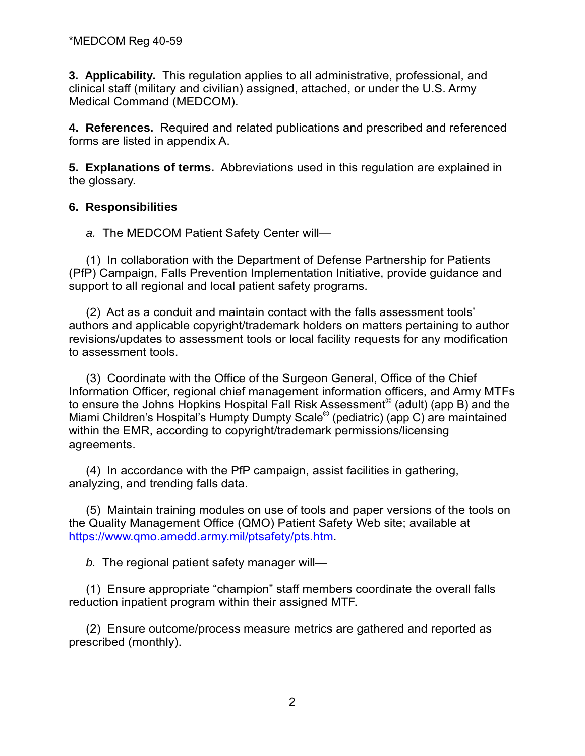**3. Applicability.** This regulation applies to all administrative, professional, and clinical staff (military and civilian) assigned, attached, or under the U.S. Army Medical Command (MEDCOM).

**4. References.** Required and related publications and prescribed and referenced forms are listed in appendix A.

**5. Explanations of terms.** Abbreviations used in this regulation are explained in the glossary.

## **6. Responsibilities**

*a.* The MEDCOM Patient Safety Center will—

(1) In collaboration with the Department of Defense Partnership for Patients (PfP) Campaign, Falls Prevention Implementation Initiative, provide guidance and support to all regional and local patient safety programs.

(2) Act as a conduit and maintain contact with the falls assessment tools' authors and applicable copyright/trademark holders on matters pertaining to author revisions/updates to assessment tools or local facility requests for any modification to assessment tools.

(3) Coordinate with the Office of the Surgeon General, Office of the Chief Information Officer, regional chief management information officers, and Army MTFs to ensure the Johns Hopkins Hospital Fall Risk Assessment<sup>®</sup> (adult) (app B) and the Miami Children's Hospital's Humpty Dumpty Scale© (pediatric) (app C) are maintained within the EMR, according to copyright/trademark permissions/licensing agreements.

(4) In accordance with the PfP campaign, assist facilities in gathering, analyzing, and trending falls data.

(5) Maintain training modules on use of tools and paper versions of the tools on the Quality Management Office (QMO) Patient Safety Web site; available at [https://www.qmo.amedd.army.mil/ptsafety/pts.htm.](https://www.qmo.amedd.army.mil/ptsafety/pts.htm)

*b.* The regional patient safety manager will—

(1) Ensure appropriate "champion" staff members coordinate the overall falls reduction inpatient program within their assigned MTF.

(2) Ensure outcome/process measure metrics are gathered and reported as prescribed (monthly).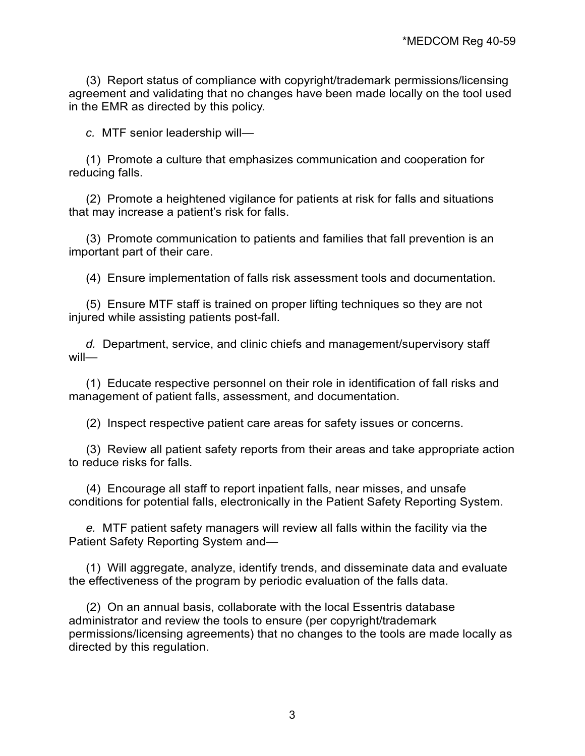(3) Report status of compliance with copyright/trademark permissions/licensing agreement and validating that no changes have been made locally on the tool used in the EMR as directed by this policy.

*c.* MTF senior leadership will—

(1) Promote a culture that emphasizes communication and cooperation for reducing falls.

(2) Promote a heightened vigilance for patients at risk for falls and situations that may increase a patient's risk for falls.

(3) Promote communication to patients and families that fall prevention is an important part of their care.

(4) Ensure implementation of falls risk assessment tools and documentation.

(5) Ensure MTF staff is trained on proper lifting techniques so they are not injured while assisting patients post-fall.

*d.* Department, service, and clinic chiefs and management/supervisory staff will—

(1) Educate respective personnel on their role in identification of fall risks and management of patient falls, assessment, and documentation.

(2) Inspect respective patient care areas for safety issues or concerns.

(3) Review all patient safety reports from their areas and take appropriate action to reduce risks for falls.

(4) Encourage all staff to report inpatient falls, near misses, and unsafe conditions for potential falls, electronically in the Patient Safety Reporting System.

*e.* MTF patient safety managers will review all falls within the facility via the Patient Safety Reporting System and—

(1) Will aggregate, analyze, identify trends, and disseminate data and evaluate the effectiveness of the program by periodic evaluation of the falls data.

(2) On an annual basis, collaborate with the local Essentris database administrator and review the tools to ensure (per copyright/trademark permissions/licensing agreements) that no changes to the tools are made locally as directed by this regulation.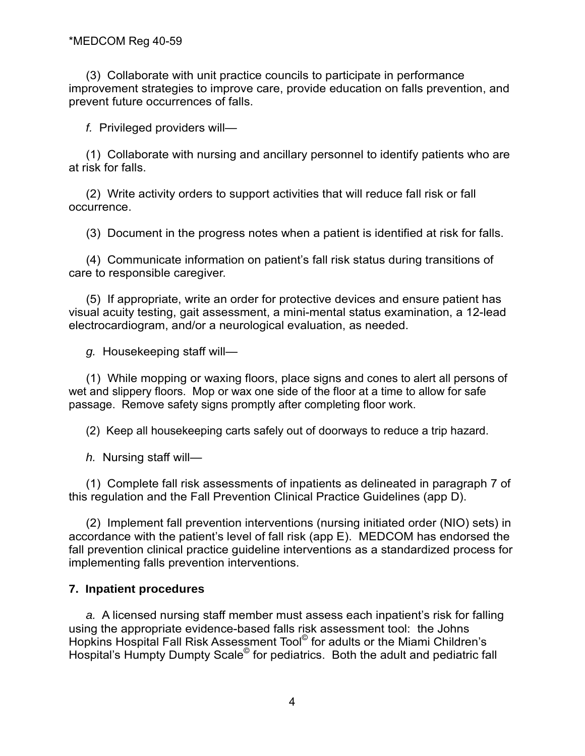(3) Collaborate with unit practice councils to participate in performance improvement strategies to improve care, provide education on falls prevention, and prevent future occurrences of falls.

*f.* Privileged providers will—

(1) Collaborate with nursing and ancillary personnel to identify patients who are at risk for falls.

(2) Write activity orders to support activities that will reduce fall risk or fall occurrence.

(3) Document in the progress notes when a patient is identified at risk for falls.

(4) Communicate information on patient's fall risk status during transitions of care to responsible caregiver.

(5) If appropriate, write an order for protective devices and ensure patient has visual acuity testing, gait assessment, a mini-mental status examination, a 12-lead electrocardiogram, and/or a neurological evaluation, as needed.

*g.* Housekeeping staff will—

(1) While mopping or waxing floors, place signs and cones to alert all persons of wet and slippery floors. Mop or wax one side of the floor at a time to allow for safe passage. Remove safety signs promptly after completing floor work.

(2) Keep all housekeeping carts safely out of doorways to reduce a trip hazard.

*h.* Nursing staff will—

(1) Complete fall risk assessments of inpatients as delineated in paragraph 7 of this regulation and the Fall Prevention Clinical Practice Guidelines (app D).

(2) Implement fall prevention interventions (nursing initiated order (NIO) sets) in accordance with the patient's level of fall risk (app E). MEDCOM has endorsed the fall prevention clinical practice guideline interventions as a standardized process for implementing falls prevention interventions.

#### **7. Inpatient procedures**

*a.* A licensed nursing staff member must assess each inpatient's risk for falling using the appropriate evidence-based falls risk assessment tool: the Johns Hopkins Hospital Fall Risk Assessment Tool© for adults or the Miami Children's Hospital's Humpty Dumpty Scale<sup>®</sup> for pediatrics. Both the adult and pediatric fall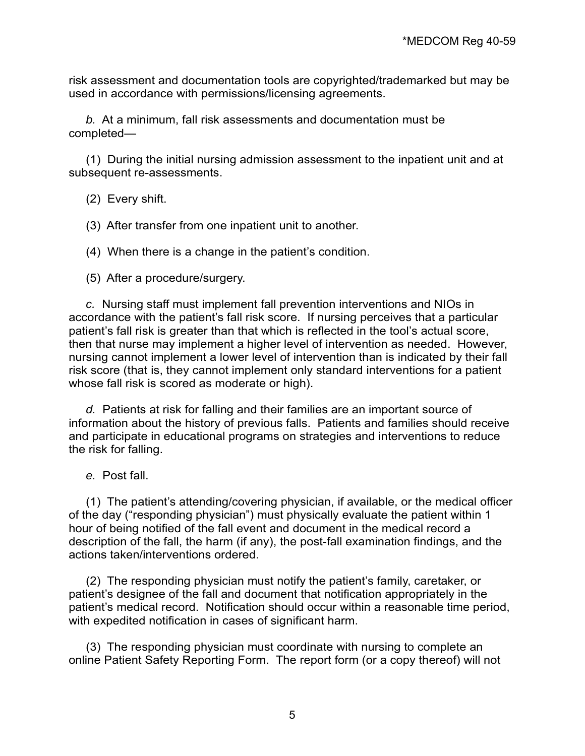risk assessment and documentation tools are copyrighted/trademarked but may be used in accordance with permissions/licensing agreements.

*b.* At a minimum, fall risk assessments and documentation must be completed—

(1) During the initial nursing admission assessment to the inpatient unit and at subsequent re-assessments.

- (2) Every shift.
- (3) After transfer from one inpatient unit to another.
- (4) When there is a change in the patient's condition.
- (5) After a procedure/surgery.

*c.* Nursing staff must implement fall prevention interventions and NIOs in accordance with the patient's fall risk score. If nursing perceives that a particular patient's fall risk is greater than that which is reflected in the tool's actual score, then that nurse may implement a higher level of intervention as needed. However, nursing cannot implement a lower level of intervention than is indicated by their fall risk score (that is, they cannot implement only standard interventions for a patient whose fall risk is scored as moderate or high).

*d.* Patients at risk for falling and their families are an important source of information about the history of previous falls. Patients and families should receive and participate in educational programs on strategies and interventions to reduce the risk for falling.

*e.* Post fall.

(1) The patient's attending/covering physician, if available, or the medical officer of the day ("responding physician") must physically evaluate the patient within 1 hour of being notified of the fall event and document in the medical record a description of the fall, the harm (if any), the post-fall examination findings, and the actions taken/interventions ordered.

(2) The responding physician must notify the patient's family, caretaker, or patient's designee of the fall and document that notification appropriately in the patient's medical record. Notification should occur within a reasonable time period, with expedited notification in cases of significant harm.

(3) The responding physician must coordinate with nursing to complete an online Patient Safety Reporting Form. The report form (or a copy thereof) will not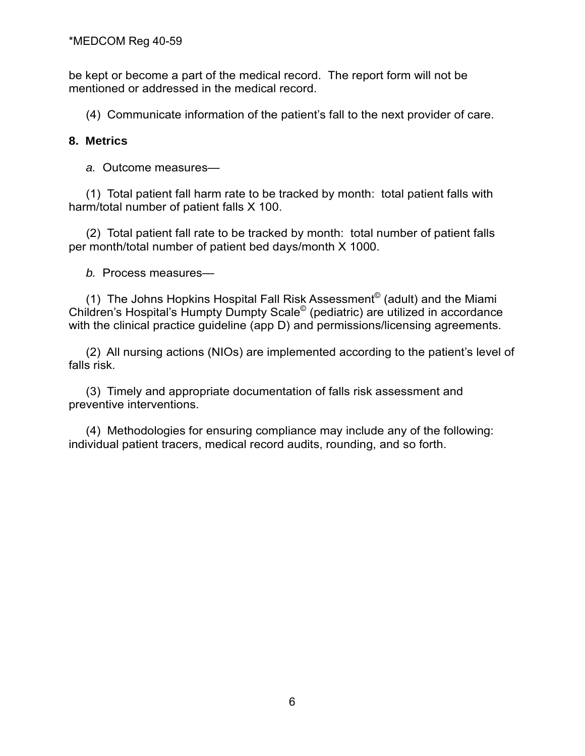be kept or become a part of the medical record. The report form will not be mentioned or addressed in the medical record.

(4) Communicate information of the patient's fall to the next provider of care.

## **8. Metrics**

*a.* Outcome measures—

(1) Total patient fall harm rate to be tracked by month: total patient falls with harm/total number of patient falls X 100.

 (2) Total patient fall rate to be tracked by month: total number of patient falls per month/total number of patient bed days/month X 1000.

*b.* Process measures—

(1) The Johns Hopkins Hospital Fall Risk Assessment<sup>©</sup> (adult) and the Miami Children's Hospital's Humpty Dumpty Scale© (pediatric) are utilized in accordance with the clinical practice guideline (app D) and permissions/licensing agreements.

(2) All nursing actions (NIOs) are implemented according to the patient's level of falls risk.

(3) Timely and appropriate documentation of falls risk assessment and preventive interventions.

(4) Methodologies for ensuring compliance may include any of the following: individual patient tracers, medical record audits, rounding, and so forth.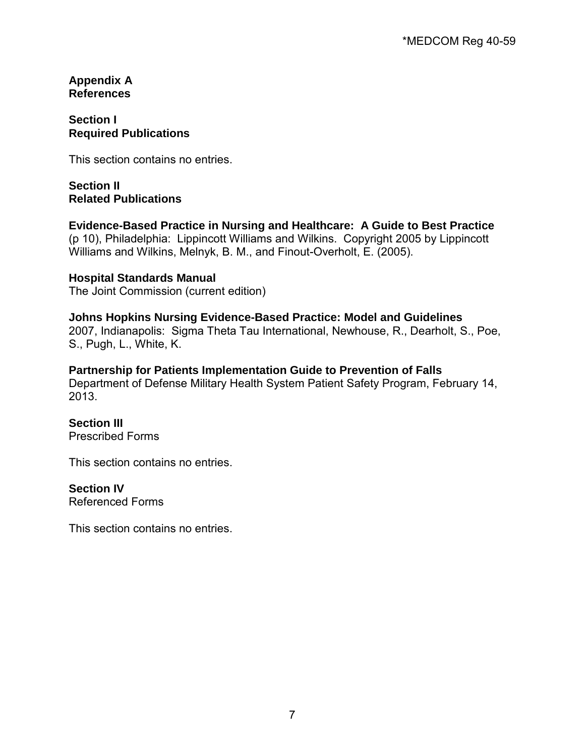#### **Appendix A References**

## **Section I Required Publications**

This section contains no entries.

## **Section II Related Publications**

# **Evidence-Based Practice in Nursing and Healthcare: A Guide to Best Practice**

(p 10), Philadelphia: Lippincott Williams and Wilkins. Copyright 2005 by Lippincott Williams and Wilkins, Melnyk, B. M., and Finout-Overholt, E. (2005).

#### **Hospital Standards Manual**

The Joint Commission (current edition)

#### **Johns Hopkins Nursing Evidence-Based Practice: Model and Guidelines**

2007, Indianapolis: Sigma Theta Tau International, Newhouse, R., Dearholt, S., Poe, S., Pugh, L., White, K.

#### **Partnership for Patients Implementation Guide to Prevention of Falls** Department of Defense Military Health System Patient Safety Program, February 14, 2013.

## **Section III**

Prescribed Forms

This section contains no entries.

#### **Section IV**

Referenced Forms

This section contains no entries.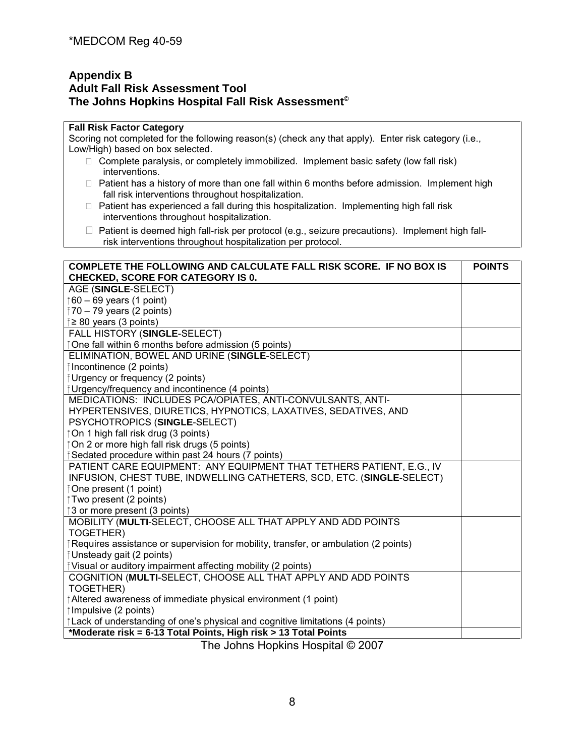#### **Appendix B Adult Fall Risk Assessment Tool The Johns Hopkins Hospital Fall Risk Assessment**©

#### **Fall Risk Factor Category**

Scoring not completed for the following reason(s) (check any that apply). Enter risk category (i.e., Low/High) based on box selected.

- $\Box$  Complete paralysis, or completely immobilized. Implement basic safety (low fall risk) interventions.
- $\Box$  Patient has a history of more than one fall within 6 months before admission. Implement high fall risk interventions throughout hospitalization.
- $\Box$  Patient has experienced a fall during this hospitalization. Implementing high fall risk interventions throughout hospitalization.
- $\Box$  Patient is deemed high fall-risk per protocol (e.g., seizure precautions). Implement high fallrisk interventions throughout hospitalization per protocol.

| COMPLETE THE FOLLOWING AND CALCULATE FALL RISK SCORE. IF NO BOX IS                  | <b>POINTS</b> |
|-------------------------------------------------------------------------------------|---------------|
| <b>CHECKED, SCORE FOR CATEGORY IS 0.</b>                                            |               |
| AGE (SINGLE-SELECT)                                                                 |               |
| $\uparrow$ 60 – 69 years (1 point)                                                  |               |
| $\frac{1}{2}$ 70 – 79 years (2 points)                                              |               |
| $\geq$ 80 years (3 points)                                                          |               |
| FALL HISTORY (SINGLE-SELECT)                                                        |               |
| ⊺One fall within 6 months before admission (5 points)                               |               |
| ELIMINATION, BOWEL AND URINE (SINGLE-SELECT)                                        |               |
| Incontinence (2 points)                                                             |               |
| Urgency or frequency (2 points)                                                     |               |
| <b>I</b> Urgency/frequency and incontinence (4 points)                              |               |
| MEDICATIONS: INCLUDES PCA/OPIATES, ANTI-CONVULSANTS, ANTI-                          |               |
| HYPERTENSIVES, DIURETICS, HYPNOTICS, LAXATIVES, SEDATIVES, AND                      |               |
| PSYCHOTROPICS (SINGLE-SELECT)                                                       |               |
| ⊺On 1 high fall risk drug (3 points)                                                |               |
| ⊺On 2 or more high fall risk drugs (5 points)                                       |               |
| Sedated procedure within past 24 hours (7 points)                                   |               |
| PATIENT CARE EQUIPMENT: ANY EQUIPMENT THAT TETHERS PATIENT, E.G., IV                |               |
| INFUSION, CHEST TUBE, INDWELLING CATHETERS, SCD, ETC. (SINGLE-SELECT)               |               |
| ⊺One present (1 point)                                                              |               |
| Two present (2 points)                                                              |               |
| 3 or more present (3 points)                                                        |               |
| MOBILITY (MULTI-SELECT, CHOOSE ALL THAT APPLY AND ADD POINTS                        |               |
| TOGETHER)                                                                           |               |
| Requires assistance or supervision for mobility, transfer, or ambulation (2 points) |               |
| ⊺Unsteady gait (2 points)                                                           |               |
| Visual or auditory impairment affecting mobility (2 points)                         |               |
| COGNITION (MULTI-SELECT, CHOOSE ALL THAT APPLY AND ADD POINTS                       |               |
| TOGETHER)                                                                           |               |
| Altered awareness of immediate physical environment (1 point)                       |               |
| $\uparrow$ Impulsive (2 points)                                                     |               |
| Lack of understanding of one's physical and cognitive limitations (4 points)        |               |
| *Moderate risk = 6-13 Total Points, High risk > 13 Total Points                     |               |

The Johns Hopkins Hospital © 2007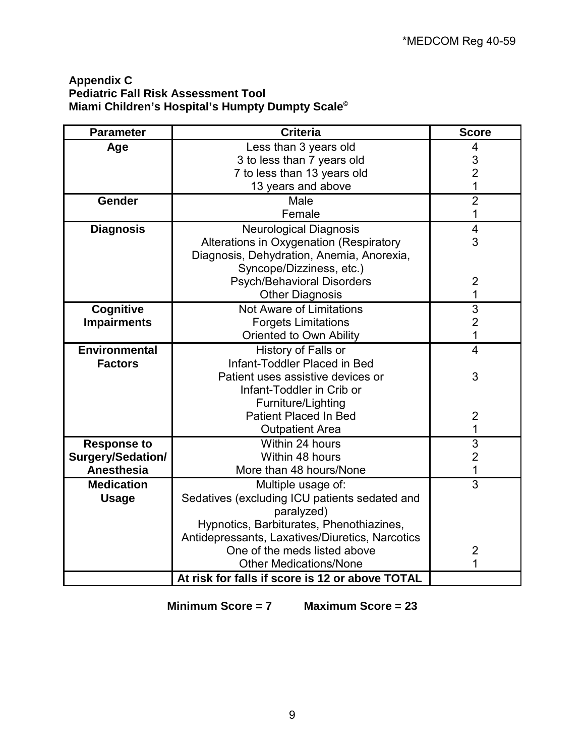## **Appendix C Pediatric Fall Risk Assessment Tool Miami Children's Hospital's Humpty Dumpty Scale**©

| <b>Parameter</b>         | <b>Criteria</b>                                 | <b>Score</b>            |
|--------------------------|-------------------------------------------------|-------------------------|
| Age                      | Less than 3 years old                           | 4                       |
|                          | 3 to less than 7 years old                      | 3                       |
|                          | 7 to less than 13 years old                     | $\overline{2}$          |
|                          | 13 years and above                              | 1                       |
| <b>Gender</b>            | Male                                            | $\overline{2}$          |
|                          | Female                                          | 1                       |
| <b>Diagnosis</b>         | <b>Neurological Diagnosis</b>                   | $\overline{\mathbf{4}}$ |
|                          | Alterations in Oxygenation (Respiratory         | 3                       |
|                          | Diagnosis, Dehydration, Anemia, Anorexia,       |                         |
|                          | Syncope/Dizziness, etc.)                        |                         |
|                          | <b>Psych/Behavioral Disorders</b>               | $\overline{2}$          |
|                          | <b>Other Diagnosis</b>                          | 1                       |
| <b>Cognitive</b>         | Not Aware of Limitations                        | $\overline{3}$          |
| <b>Impairments</b>       | <b>Forgets Limitations</b>                      | $\overline{2}$          |
|                          | Oriented to Own Ability                         | 1                       |
| <b>Environmental</b>     | History of Falls or                             | 4                       |
| <b>Factors</b>           | Infant-Toddler Placed in Bed                    |                         |
|                          | Patient uses assistive devices or               | 3                       |
|                          | Infant-Toddler in Crib or                       |                         |
|                          | Furniture/Lighting                              |                         |
|                          | <b>Patient Placed In Bed</b>                    | 2                       |
|                          | <b>Outpatient Area</b>                          | 1                       |
| <b>Response to</b>       | Within 24 hours                                 | $\overline{3}$          |
| <b>Surgery/Sedation/</b> | Within 48 hours                                 | $\overline{2}$          |
| Anesthesia               | More than 48 hours/None                         | $\overline{1}$          |
| <b>Medication</b>        | Multiple usage of:                              | 3                       |
| <b>Usage</b>             | Sedatives (excluding ICU patients sedated and   |                         |
|                          | paralyzed)                                      |                         |
|                          | Hypnotics, Barbiturates, Phenothiazines,        |                         |
|                          | Antidepressants, Laxatives/Diuretics, Narcotics |                         |
|                          | One of the meds listed above                    | 2                       |
|                          | <b>Other Medications/None</b>                   | 1                       |
|                          | At risk for falls if score is 12 or above TOTAL |                         |

**Minimum Score = 7 Maximum Score = 23**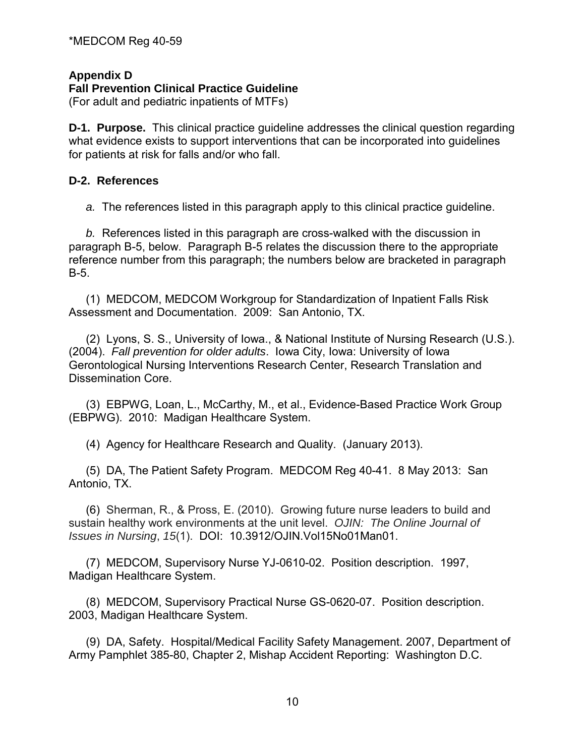**Appendix D** 

#### **Fall Prevention Clinical Practice Guideline**

(For adult and pediatric inpatients of MTFs)

**D-1. Purpose.** This clinical practice guideline addresses the clinical question regarding what evidence exists to support interventions that can be incorporated into guidelines for patients at risk for falls and/or who fall.

#### **D-2. References**

*a.* The references listed in this paragraph apply to this clinical practice guideline.

*b.* References listed in this paragraph are cross-walked with the discussion in paragraph B-5, below. Paragraph B-5 relates the discussion there to the appropriate reference number from this paragraph; the numbers below are bracketed in paragraph B-5.

 (1) MEDCOM, MEDCOM Workgroup for Standardization of Inpatient Falls Risk Assessment and Documentation. 2009: San Antonio, TX.

(2) Lyons, S. S., University of Iowa., & National Institute of Nursing Research (U.S.). (2004). *Fall prevention for older adults*. Iowa City, Iowa: University of Iowa Gerontological Nursing Interventions Research Center, Research Translation and Dissemination Core.

(3) EBPWG, Loan, L., McCarthy, M., et al., Evidence-Based Practice Work Group (EBPWG). 2010: Madigan Healthcare System.

(4) Agency for Healthcare Research and Quality. (January 2013).

(5) DA, The Patient Safety Program. MEDCOM Reg 40-41. 8 May 2013: San Antonio, TX.

(6) Sherman, R., & Pross, E. (2010). Growing future nurse leaders to build and sustain healthy work environments at the unit level. *OJIN: The Online Journal of Issues in Nursing*, *15*(1). DOI: 10.3912/OJIN.Vol15No01Man01.

(7) MEDCOM, Supervisory Nurse YJ-0610-02. Position description. 1997, Madigan Healthcare System.

(8) MEDCOM, Supervisory Practical Nurse GS-0620-07. Position description. 2003, Madigan Healthcare System.

(9) DA, Safety. Hospital/Medical Facility Safety Management. 2007, Department of Army Pamphlet 385-80, Chapter 2, Mishap Accident Reporting: Washington D.C.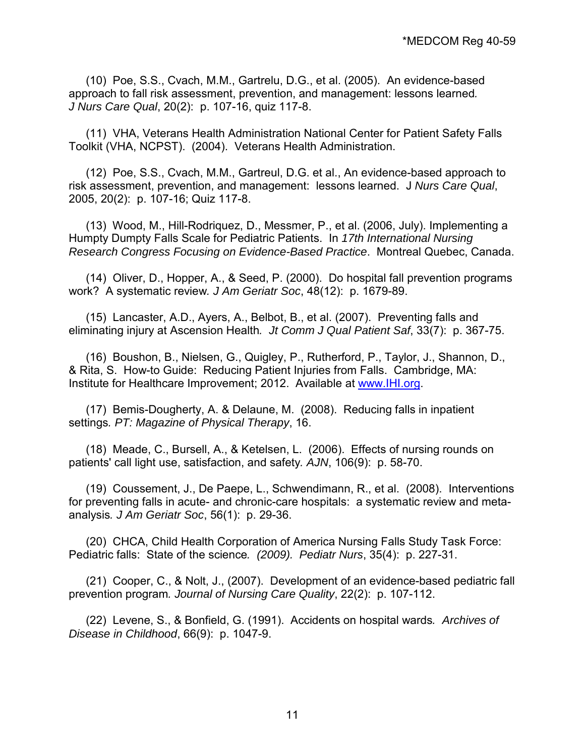(10) Poe, S.S., Cvach, M.M., Gartrelu, D.G., et al. (2005). An evidence-based approach to fall risk assessment, prevention, and management: lessons learned*. J Nurs Care Qual*, 20(2): p. 107-16, quiz 117-8.

 (11) VHA, Veterans Health Administration National Center for Patient Safety Falls Toolkit (VHA, NCPST). (2004). Veterans Health Administration.

(12) Poe, S.S., Cvach, M.M., Gartreul, D.G. et al., An evidence-based approach to risk assessment, prevention, and management: lessons learned. J *Nurs Care Qual*, 2005, 20(2): p. 107-16; Quiz 117-8.

(13) Wood, M., Hill-Rodriquez, D., Messmer, P., et al. (2006, July). Implementing a Humpty Dumpty Falls Scale for Pediatric Patients. In *17th International Nursing Research Congress Focusing on Evidence-Based Practice*. Montreal Quebec, Canada.

(14) Oliver, D., Hopper, A., & Seed, P. (2000). Do hospital fall prevention programs work? A systematic review*. J Am Geriatr Soc*, 48(12): p. 1679-89.

(15) Lancaster, A.D., Ayers, A., Belbot, B., et al. (2007). Preventing falls and eliminating injury at Ascension Health*. Jt Comm J Qual Patient Saf*, 33(7): p. 367-75.

(16) Boushon, B., Nielsen, G., Quigley, P., Rutherford, P., Taylor, J., Shannon, D., & Rita, S. How-to Guide: Reducing Patient Injuries from Falls. Cambridge, MA: Institute for Healthcare Improvement; 2012. Available at [www.IHI.org.](http://www.ihi.org/)

(17) Bemis-Dougherty, A. & Delaune, M. (2008). Reducing falls in inpatient settings*. PT: Magazine of Physical Therapy*, 16.

(18) Meade, C., Bursell, A., & Ketelsen, L. (2006). Effects of nursing rounds on patients' call light use, satisfaction, and safety*. AJN*, 106(9): p. 58-70.

(19) Coussement, J., De Paepe, L., Schwendimann, R., et al. (2008). Interventions for preventing falls in acute- and chronic-care hospitals: a systematic review and metaanalysis*. J Am Geriatr Soc*, 56(1): p. 29-36.

(20) CHCA, Child Health Corporation of America Nursing Falls Study Task Force: Pediatric falls: State of the science*. (2009). Pediatr Nurs*, 35(4): p. 227-31.

(21) Cooper, C., & Nolt, J., (2007). Development of an evidence-based pediatric fall prevention program*. Journal of Nursing Care Quality*, 22(2): p. 107-112.

(22) Levene, S., & Bonfield, G. (1991). Accidents on hospital wards*. Archives of Disease in Childhood*, 66(9): p. 1047-9.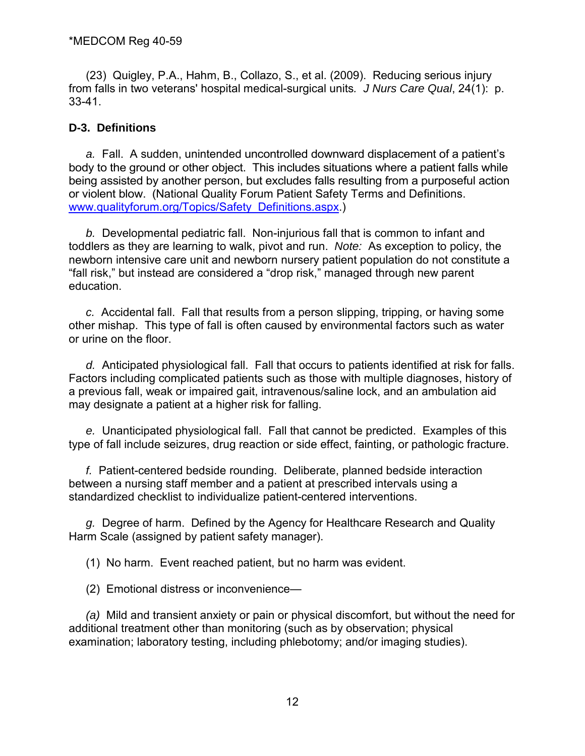(23)Quigley, P.A., Hahm, B., Collazo, S., et al. (2009). Reducing serious injury from falls in two veterans' hospital medical-surgical units*. J Nurs Care Qual*, 24(1): p. 33-41.

## **D-3. Definitions**

*a.* Fall. A sudden, unintended uncontrolled downward displacement of a patient's body to the ground or other object. This includes situations where a patient falls while being assisted by another person, but excludes falls resulting from a purposeful action or violent blow. (National Quality Forum Patient Safety Terms and Definitions. [www.qualityforum.org/Topics/Safety\\_Definitions.aspx.](http://www.qualityforum.org/Topics/Safety_Definitions.aspx))

*b.* Developmental pediatric fall. Non-injurious fall that is common to infant and toddlers as they are learning to walk, pivot and run. *Note:* As exception to policy, the newborn intensive care unit and newborn nursery patient population do not constitute a "fall risk," but instead are considered a "drop risk," managed through new parent education.

*c.* Accidental fall. Fall that results from a person slipping, tripping, or having some other mishap. This type of fall is often caused by environmental factors such as water or urine on the floor.

*d.* Anticipated physiological fall. Fall that occurs to patients identified at risk for falls. Factors including complicated patients such as those with multiple diagnoses, history of a previous fall, weak or impaired gait, intravenous/saline lock, and an ambulation aid may designate a patient at a higher risk for falling.

*e.* Unanticipated physiological fall. Fall that cannot be predicted. Examples of this type of fall include seizures, drug reaction or side effect, fainting, or pathologic fracture.

*f.* Patient-centered bedside rounding. Deliberate, planned bedside interaction between a nursing staff member and a patient at prescribed intervals using a standardized checklist to individualize patient-centered interventions.

*g.* Degree of harm. Defined by the Agency for Healthcare Research and Quality Harm Scale (assigned by patient safety manager).

(1) No harm. Event reached patient, but no harm was evident.

(2)Emotional distress or inconvenience—

*(a)*Mild and transient anxiety or pain or physical discomfort, but without the need for additional treatment other than monitoring (such as by observation; physical examination; laboratory testing, including phlebotomy; and/or imaging studies).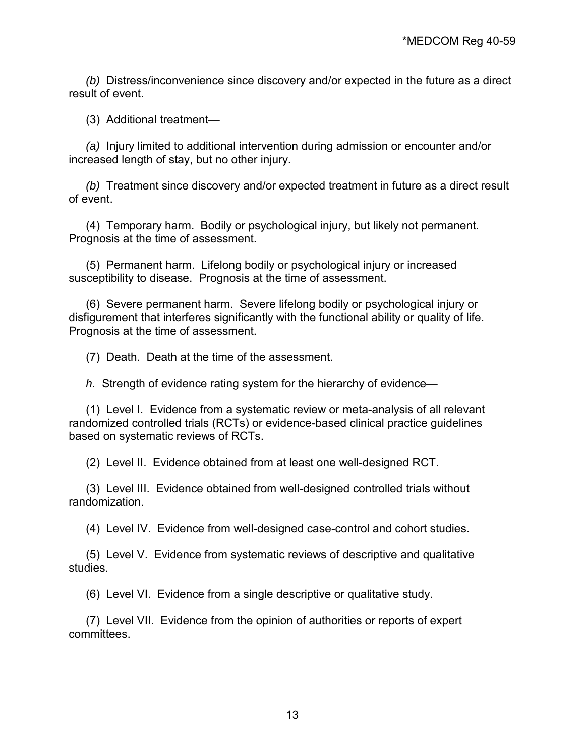*(b)* Distress/inconvenience since discovery and/or expected in the future as a direct result of event.

(3) Additional treatment—

*(a)* Injury limited to additional intervention during admission or encounter and/or increased length of stay, but no other injury.

*(b)* Treatment since discovery and/or expected treatment in future as a direct result of event.

(4) Temporary harm. Bodily or psychological injury, but likely not permanent. Prognosis at the time of assessment.

(5) Permanent harm. Lifelong bodily or psychological injury or increased susceptibility to disease. Prognosis at the time of assessment.

(6) Severe permanent harm. Severe lifelong bodily or psychological injury or disfigurement that interferes significantly with the functional ability or quality of life. Prognosis at the time of assessment.

(7) Death. Death at the time of the assessment.

*h.* Strength of evidence rating system for the hierarchy of evidence—

(1)Level I. Evidence from a systematic review or meta-analysis of all relevant randomized controlled trials (RCTs) or evidence-based clinical practice guidelines based on systematic reviews of RCTs.

(2) Level II. Evidence obtained from at least one well-designed RCT.

(3) Level III. Evidence obtained from well-designed controlled trials without randomization.

(4) Level IV. Evidence from well-designed case-control and cohort studies.

(5) Level V. Evidence from systematic reviews of descriptive and qualitative studies.

(6) Level VI. Evidence from a single descriptive or qualitative study.

(7) Level VII. Evidence from the opinion of authorities or reports of expert committees.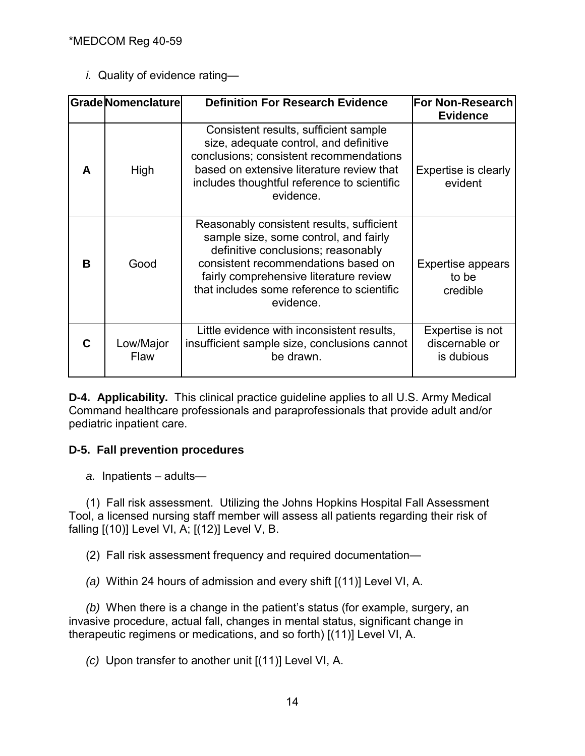*i.* Quality of evidence rating—

|   | Grade Nomenclature | <b>Definition For Research Evidence</b>                                                                                                                                                                                                                              | <b>For Non-Research</b><br><b>Evidence</b>       |
|---|--------------------|----------------------------------------------------------------------------------------------------------------------------------------------------------------------------------------------------------------------------------------------------------------------|--------------------------------------------------|
| A | High               | Consistent results, sufficient sample<br>size, adequate control, and definitive<br>conclusions; consistent recommendations<br>based on extensive literature review that<br>includes thoughtful reference to scientific<br>evidence.                                  | Expertise is clearly<br>evident                  |
| B | Good               | Reasonably consistent results, sufficient<br>sample size, some control, and fairly<br>definitive conclusions; reasonably<br>consistent recommendations based on<br>fairly comprehensive literature review<br>that includes some reference to scientific<br>evidence. | <b>Expertise appears</b><br>to be<br>credible    |
| C | Low/Major<br>Flaw  | Little evidence with inconsistent results,<br>insufficient sample size, conclusions cannot<br>be drawn.                                                                                                                                                              | Expertise is not<br>discernable or<br>is dubious |

**D-4. Applicability.** This clinical practice guideline applies to all U.S. Army Medical Command healthcare professionals and paraprofessionals that provide adult and/or pediatric inpatient care.

## **D-5. Fall prevention procedures**

*a.* Inpatients – adults—

(1) Fall risk assessment. Utilizing the Johns Hopkins Hospital Fall Assessment Tool, a licensed nursing staff member will assess all patients regarding their risk of falling [(10)] Level VI, A; [(12)] Level V, B.

(2) Fall risk assessment frequency and required documentation—

*(a)* Within 24 hours of admission and every shift [(11)] Level VI, A.

*(b)* When there is a change in the patient's status (for example, surgery, an invasive procedure, actual fall, changes in mental status, significant change in therapeutic regimens or medications, and so forth) [(11)] Level VI, A.

*(c)* Upon transfer to another unit [(11)] Level VI, A.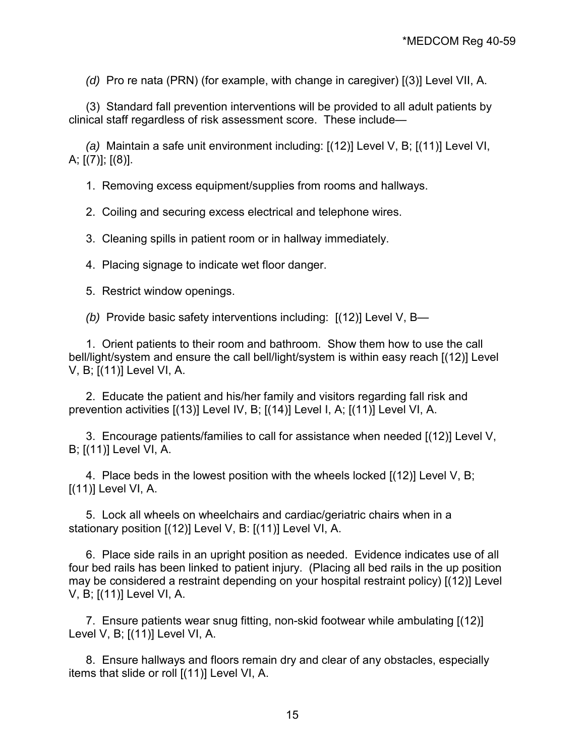*(d)* Pro re nata (PRN) (for example, with change in caregiver) [(3)] Level VII, A.

(3) Standard fall prevention interventions will be provided to all adult patients by clinical staff regardless of risk assessment score. These include—

*(a)* Maintain a safe unit environment including: [(12)] Level V, B; [(11)] Level VI, A;  $[(7)]$ ;  $[(8)]$ .

1. Removing excess equipment/supplies from rooms and hallways.

2. Coiling and securing excess electrical and telephone wires.

3. Cleaning spills in patient room or in hallway immediately.

4. Placing signage to indicate wet floor danger.

5. Restrict window openings.

*(b)* Provide basic safety interventions including: [(12)] Level V, B—

1. Orient patients to their room and bathroom. Show them how to use the call bell/light/system and ensure the call bell/light/system is within easy reach [(12)] Level V, B; [(11)] Level VI, A.

2. Educate the patient and his/her family and visitors regarding fall risk and prevention activities [(13)] Level IV, B; [(14)] Level I, A; [(11)] Level VI, A.

3. Encourage patients/families to call for assistance when needed [(12)] Level V, B; [(11)] Level VI, A.

4. Place beds in the lowest position with the wheels locked [(12)] Level V, B;  $[(11)]$  Level VI, A.

5. Lock all wheels on wheelchairs and cardiac/geriatric chairs when in a stationary position [(12)] Level V, B: [(11)] Level VI, A.

6. Place side rails in an upright position as needed. Evidence indicates use of all four bed rails has been linked to patient injury. (Placing all bed rails in the up position may be considered a restraint depending on your hospital restraint policy) [(12)] Level V, B; [(11)] Level VI, A.

7. Ensure patients wear snug fitting, non-skid footwear while ambulating [(12)] Level V, B; [(11)] Level VI, A.

8. Ensure hallways and floors remain dry and clear of any obstacles, especially items that slide or roll [(11)] Level VI, A.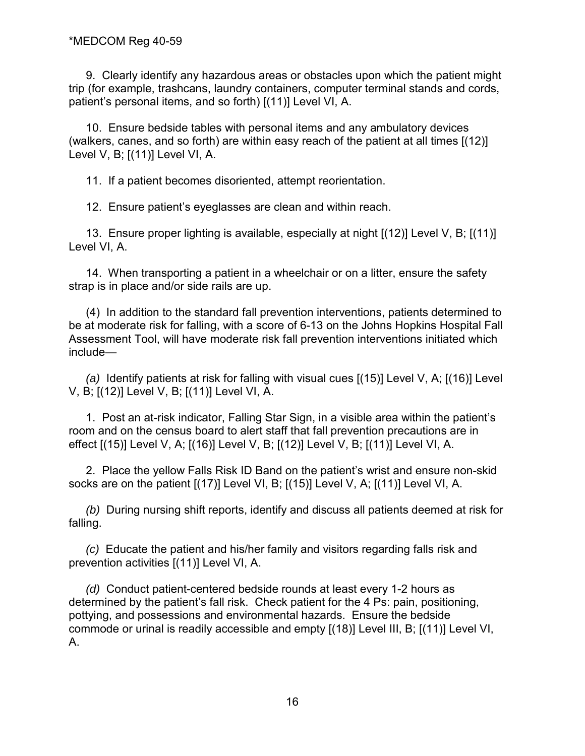9. Clearly identify any hazardous areas or obstacles upon which the patient might trip (for example, trashcans, laundry containers, computer terminal stands and cords, patient's personal items, and so forth) [(11)] Level VI, A.

10. Ensure bedside tables with personal items and any ambulatory devices (walkers, canes, and so forth) are within easy reach of the patient at all times [(12)] Level V, B; [(11)] Level VI, A.

11. If a patient becomes disoriented, attempt reorientation.

12. Ensure patient's eyeglasses are clean and within reach.

13. Ensure proper lighting is available, especially at night [(12)] Level V, B; [(11)] Level VI, A.

14. When transporting a patient in a wheelchair or on a litter, ensure the safety strap is in place and/or side rails are up.

(4) In addition to the standard fall prevention interventions, patients determined to be at moderate risk for falling, with a score of 6-13 on the Johns Hopkins Hospital Fall Assessment Tool, will have moderate risk fall prevention interventions initiated which include—

*(a)* Identify patients at risk for falling with visual cues [(15)] Level V, A; [(16)] Level V, B; [(12)] Level V, B; [(11)] Level VI, A.

1. Post an at-risk indicator, Falling Star Sign, in a visible area within the patient's room and on the census board to alert staff that fall prevention precautions are in effect [(15)] Level V, A; [(16)] Level V, B; [(12)] Level V, B; [(11)] Level VI, A.

2. Place the yellow Falls Risk ID Band on the patient's wrist and ensure non-skid socks are on the patient [(17)] Level VI, B; [(15)] Level V, A; [(11)] Level VI, A.

*(b)* During nursing shift reports, identify and discuss all patients deemed at risk for falling.

*(c)* Educate the patient and his/her family and visitors regarding falls risk and prevention activities [(11)] Level VI, A.

*(d)* Conduct patient-centered bedside rounds at least every 1-2 hours as determined by the patient's fall risk. Check patient for the 4 Ps: pain, positioning, pottying, and possessions and environmental hazards. Ensure the bedside commode or urinal is readily accessible and empty [(18)] Level III, B; [(11)] Level VI, A.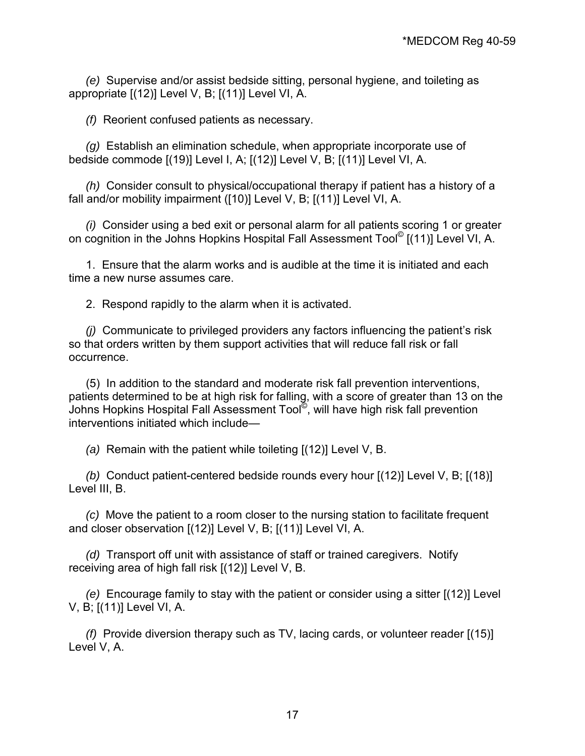*(e)* Supervise and/or assist bedside sitting, personal hygiene, and toileting as appropriate [(12)] Level V, B; [(11)] Level VI, A.

*(f)* Reorient confused patients as necessary.

*(g)* Establish an elimination schedule, when appropriate incorporate use of bedside commode [(19)] Level I, A; [(12)] Level V, B; [(11)] Level VI, A.

*(h)* Consider consult to physical/occupational therapy if patient has a history of a fall and/or mobility impairment ([10)] Level V, B; [(11)] Level VI, A.

*(i)* Consider using a bed exit or personal alarm for all patients scoring 1 or greater on cognition in the Johns Hopkins Hospital Fall Assessment Tool© [(11)] Level VI, A.

1. Ensure that the alarm works and is audible at the time it is initiated and each time a new nurse assumes care.

2. Respond rapidly to the alarm when it is activated.

*(j)* Communicate to privileged providers any factors influencing the patient's risk so that orders written by them support activities that will reduce fall risk or fall occurrence.

(5) In addition to the standard and moderate risk fall prevention interventions, patients determined to be at high risk for falling, with a score of greater than 13 on the Johns Hopkins Hospital Fall Assessment Tool©, will have high risk fall prevention interventions initiated which include—

*(a)* Remain with the patient while toileting [(12)] Level V, B.

*(b)* Conduct patient-centered bedside rounds every hour [(12)] Level V, B; [(18)] Level III, B.

*(c)* Move the patient to a room closer to the nursing station to facilitate frequent and closer observation [(12)] Level V, B; [(11)] Level VI, A.

*(d)* Transport off unit with assistance of staff or trained caregivers. Notify receiving area of high fall risk [(12)] Level V, B.

*(e)* Encourage family to stay with the patient or consider using a sitter [(12)] Level V, B; [(11)] Level VI, A.

*(f)* Provide diversion therapy such as TV, lacing cards, or volunteer reader [(15)] Level V, A.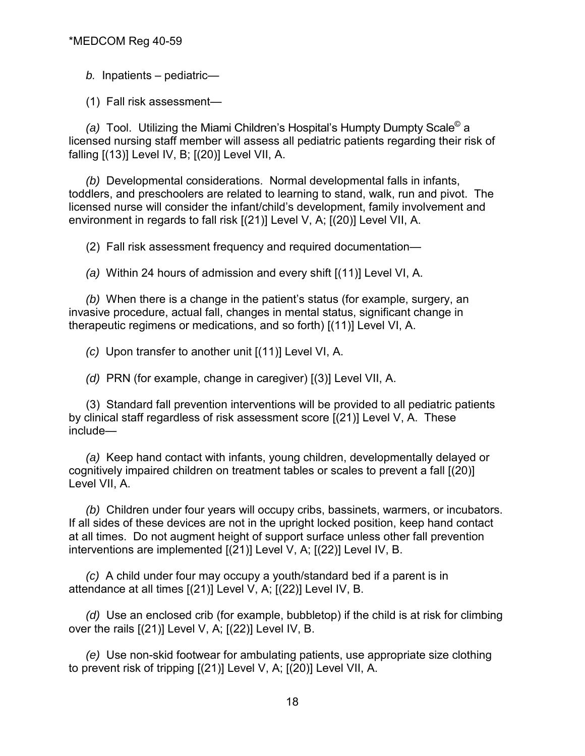*b.* Inpatients – pediatric—

(1)Fall risk assessment—

*(a)* Tool. Utilizing the Miami Children's Hospital's Humpty Dumpty Scale© a licensed nursing staff member will assess all pediatric patients regarding their risk of falling [(13)] Level IV, B; [(20)] Level VII, A.

*(b)* Developmental considerations. Normal developmental falls in infants, toddlers, and preschoolers are related to learning to stand, walk, run and pivot. The licensed nurse will consider the infant/child's development, family involvement and environment in regards to fall risk [(21)] Level V, A; [(20)] Level VII, A.

(2) Fall risk assessment frequency and required documentation—

*(a)* Within 24 hours of admission and every shift [(11)] Level VI, A.

*(b)* When there is a change in the patient's status (for example, surgery, an invasive procedure, actual fall, changes in mental status, significant change in therapeutic regimens or medications, and so forth) [(11)] Level VI, A.

*(c)* Upon transfer to another unit [(11)] Level VI, A.

*(d)* PRN (for example, change in caregiver) [(3)] Level VII, A.

(3) Standard fall prevention interventions will be provided to all pediatric patients by clinical staff regardless of risk assessment score [(21)] Level V, A. These include—

*(a)* Keep hand contact with infants, young children, developmentally delayed or cognitively impaired children on treatment tables or scales to prevent a fall [(20)] Level VII, A.

*(b)* Children under four years will occupy cribs, bassinets, warmers, or incubators. If all sides of these devices are not in the upright locked position, keep hand contact at all times. Do not augment height of support surface unless other fall prevention interventions are implemented [(21)] Level V, A; [(22)] Level IV, B.

*(c)* A child under four may occupy a youth/standard bed if a parent is in attendance at all times [(21)] Level V, A; [(22)] Level IV, B.

*(d)* Use an enclosed crib (for example, bubbletop) if the child is at risk for climbing over the rails [(21)] Level V, A; [(22)] Level IV, B.

*(e)* Use non-skid footwear for ambulating patients, use appropriate size clothing to prevent risk of tripping [(21)] Level V, A; [(20)] Level VII, A.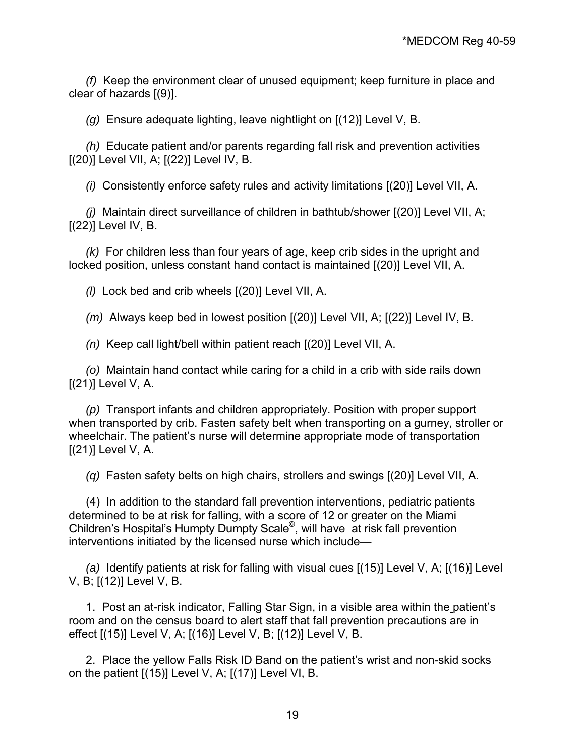*(f)* Keep the environment clear of unused equipment; keep furniture in place and clear of hazards [(9)].

*(g)* Ensure adequate lighting, leave nightlight on [(12)] Level V, B.

*(h)* Educate patient and/or parents regarding fall risk and prevention activities [(20)] Level VII, A; [(22)] Level IV, B.

*(i)* Consistently enforce safety rules and activity limitations [(20)] Level VII, A.

*(j)* Maintain direct surveillance of children in bathtub/shower [(20)] Level VII, A;  $[(22)]$  Level IV, B.

*(k)* For children less than four years of age, keep crib sides in the upright and locked position, unless constant hand contact is maintained [(20)] Level VII, A.

*(l)* Lock bed and crib wheels [(20)] Level VII, A.

*(m)* Always keep bed in lowest position [(20)] Level VII, A; [(22)] Level IV, B.

*(n)* Keep call light/bell within patient reach [(20)] Level VII, A.

*(o)* Maintain hand contact while caring for a child in a crib with side rails down  $[(21)]$  Level V, A.

*(p)* Transport infants and children appropriately. Position with proper support when transported by crib. Fasten safety belt when transporting on a gurney, stroller or wheelchair. The patient's nurse will determine appropriate mode of transportation  $[(21)]$  Level V, A.

*(q)* Fasten safety belts on high chairs, strollers and swings [(20)] Level VII, A.

 (4) In addition to the standard fall prevention interventions, pediatric patients determined to be at risk for falling, with a score of 12 or greater on the Miami Children's Hospital's Humpty Dumpty Scale©, will have at risk fall prevention interventions initiated by the licensed nurse which include—

*(a)* Identify patients at risk for falling with visual cues [(15)] Level V, A; [(16)] Level V, B; [(12)] Level V, B.

1. Post an at-risk indicator, Falling Star Sign, in a visible area within the patient's room and on the census board to alert staff that fall prevention precautions are in effect [(15)] Level V, A; [(16)] Level V, B; [(12)] Level V, B.

2. Place the yellow Falls Risk ID Band on the patient's wrist and non-skid socks on the patient [(15)] Level V, A; [(17)] Level VI, B.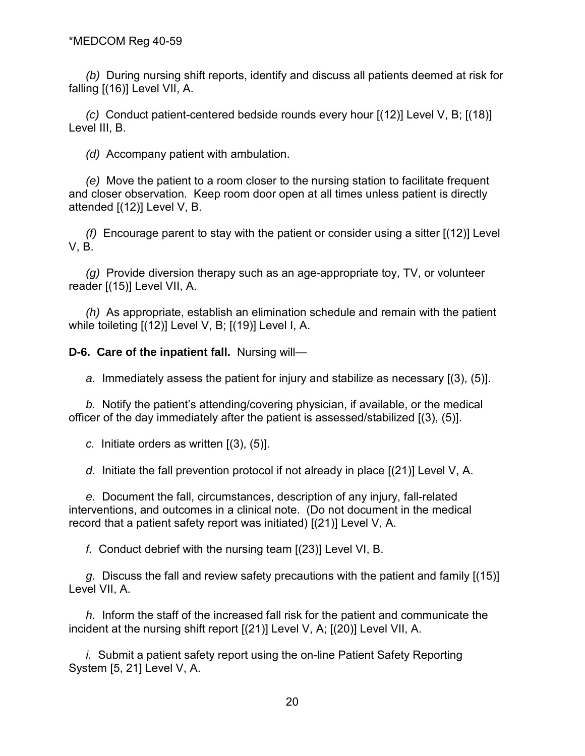*(b)* During nursing shift reports, identify and discuss all patients deemed at risk for falling [(16)] Level VII, A.

*(c)* Conduct patient-centered bedside rounds every hour [(12)] Level V, B; [(18)] Level III, B.

*(d)* Accompany patient with ambulation.

*(e)* Move the patient to a room closer to the nursing station to facilitate frequent and closer observation. Keep room door open at all times unless patient is directly attended [(12)] Level V, B.

*(f)* Encourage parent to stay with the patient or consider using a sitter [(12)] Level V, B.

*(g)* Provide diversion therapy such as an age-appropriate toy, TV, or volunteer reader [(15)] Level VII, A.

*(h)* As appropriate, establish an elimination schedule and remain with the patient while toileting [(12)] Level V, B; [(19)] Level I, A.

**D-6. Care of the inpatient fall.** Nursing will—

*a.* Immediately assess the patient for injury and stabilize as necessary [(3), (5)].

*b.* Notify the patient's attending/covering physician, if available, or the medical officer of the day immediately after the patient is assessed/stabilized [(3), (5)].

*c.* Initiate orders as written [(3), (5)].

*d.* Initiate the fall prevention protocol if not already in place [(21)] Level V, A.

*e.* Document the fall, circumstances, description of any injury, fall-related interventions, and outcomes in a clinical note. (Do not document in the medical record that a patient safety report was initiated) [(21)] Level V, A.

*f.* Conduct debrief with the nursing team [(23)] Level VI, B.

*g.* Discuss the fall and review safety precautions with the patient and family [(15)] Level VII, A.

*h.* Inform the staff of the increased fall risk for the patient and communicate the incident at the nursing shift report [(21)] Level V, A; [(20)] Level VII, A.

*i.* Submit a patient safety report using the on-line Patient Safety Reporting System [5, 21] Level V, A.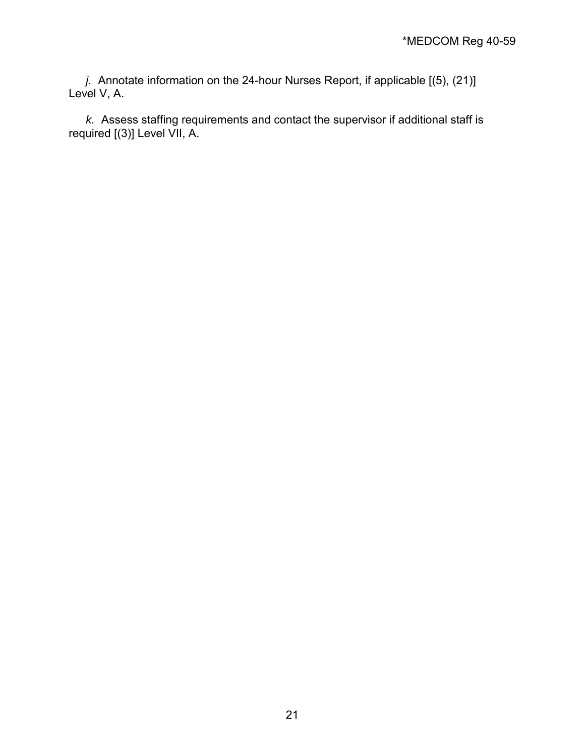*j.* Annotate information on the 24-hour Nurses Report, if applicable [(5), (21)] Level V, A.

*k.* Assess staffing requirements and contact the supervisor if additional staff is required [(3)] Level VII, A.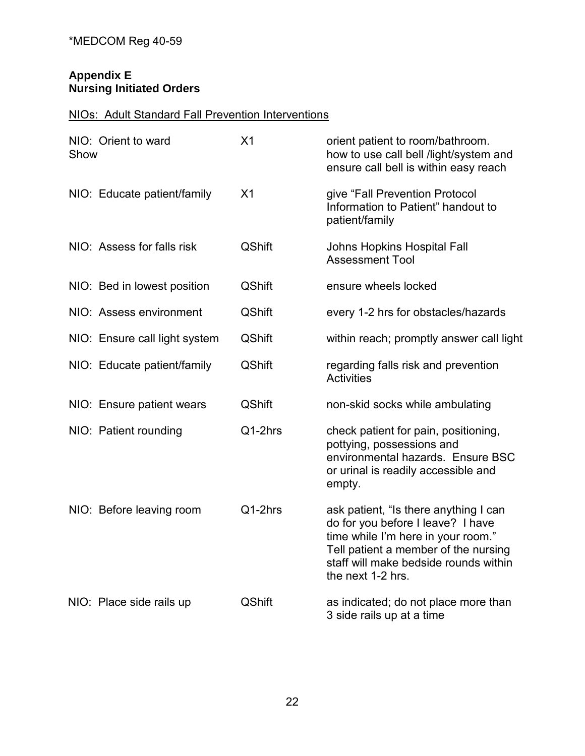## **Appendix E Nursing Initiated Orders**

## NIOs: Adult Standard Fall Prevention Interventions

| Show | NIO: Orient to ward           | X1            | orient patient to room/bathroom.<br>how to use call bell /light/system and<br>ensure call bell is within easy reach                                                                                                    |
|------|-------------------------------|---------------|------------------------------------------------------------------------------------------------------------------------------------------------------------------------------------------------------------------------|
|      | NIO: Educate patient/family   | X1            | give "Fall Prevention Protocol<br>Information to Patient" handout to<br>patient/family                                                                                                                                 |
|      | NIO: Assess for falls risk    | <b>QShift</b> | Johns Hopkins Hospital Fall<br><b>Assessment Tool</b>                                                                                                                                                                  |
|      | NIO: Bed in lowest position   | <b>QShift</b> | ensure wheels locked                                                                                                                                                                                                   |
|      | NIO: Assess environment       | <b>QShift</b> | every 1-2 hrs for obstacles/hazards                                                                                                                                                                                    |
|      | NIO: Ensure call light system | <b>QShift</b> | within reach; promptly answer call light                                                                                                                                                                               |
|      | NIO: Educate patient/family   | <b>QShift</b> | regarding falls risk and prevention<br><b>Activities</b>                                                                                                                                                               |
|      | NIO: Ensure patient wears     | <b>QShift</b> | non-skid socks while ambulating                                                                                                                                                                                        |
|      | NIO: Patient rounding         | Q1-2hrs       | check patient for pain, positioning,<br>pottying, possessions and<br>environmental hazards. Ensure BSC<br>or urinal is readily accessible and<br>empty.                                                                |
|      | NIO: Before leaving room      | Q1-2hrs       | ask patient, "Is there anything I can<br>do for you before I leave? I have<br>time while I'm here in your room."<br>Tell patient a member of the nursing<br>staff will make bedside rounds within<br>the next 1-2 hrs. |
|      | NIO: Place side rails up      | <b>QShift</b> | as indicated; do not place more than<br>3 side rails up at a time                                                                                                                                                      |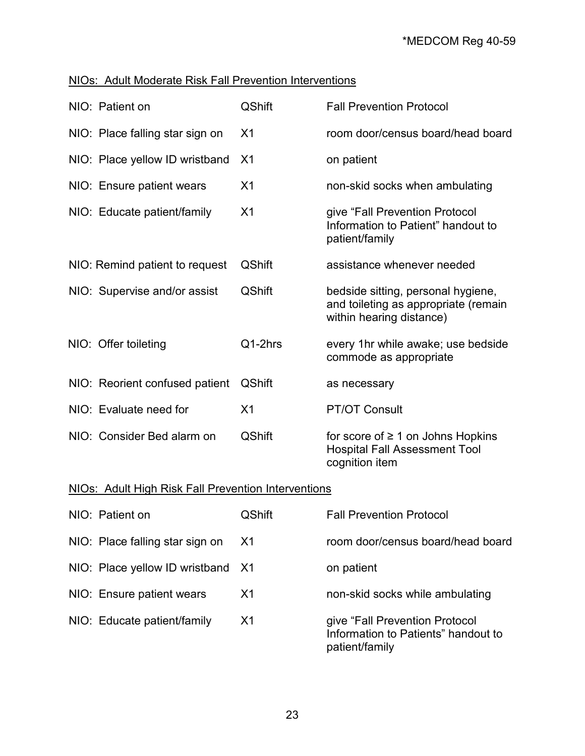## NIOs: Adult Moderate Risk Fall Prevention Interventions

| NIO: Patient on                 | <b>QShift</b>  | <b>Fall Prevention Protocol</b>                                                                        |
|---------------------------------|----------------|--------------------------------------------------------------------------------------------------------|
| NIO: Place falling star sign on | X <sub>1</sub> | room door/census board/head board                                                                      |
| NIO: Place yellow ID wristband  | X <sub>1</sub> | on patient                                                                                             |
| NIO: Ensure patient wears       | X <sub>1</sub> | non-skid socks when ambulating                                                                         |
| NIO: Educate patient/family     | X <sub>1</sub> | give "Fall Prevention Protocol<br>Information to Patient" handout to<br>patient/family                 |
| NIO: Remind patient to request  | <b>QShift</b>  | assistance whenever needed                                                                             |
| NIO: Supervise and/or assist    | <b>QShift</b>  | bedside sitting, personal hygiene,<br>and toileting as appropriate (remain<br>within hearing distance) |
| NIO: Offer toileting            | $Q1-2hrs$      | every 1hr while awake; use bedside<br>commode as appropriate                                           |
| NIO: Reorient confused patient  | <b>QShift</b>  | as necessary                                                                                           |
| NIO: Evaluate need for          | X <sub>1</sub> | <b>PT/OT Consult</b>                                                                                   |
| NIO: Consider Bed alarm on      | <b>QShift</b>  | for score of $\geq 1$ on Johns Hopkins<br><b>Hospital Fall Assessment Tool</b><br>cognition item       |

## NIOs: Adult High Risk Fall Prevention Interventions

| NIO: Patient on                   | <b>QShift</b>  | <b>Fall Prevention Protocol</b>                                                         |
|-----------------------------------|----------------|-----------------------------------------------------------------------------------------|
| NIO: Place falling star sign on   | <b>X1</b>      | room door/census board/head board                                                       |
| NIO: Place yellow ID wristband X1 |                | on patient                                                                              |
| NIO: Ensure patient wears         | X1             | non-skid socks while ambulating                                                         |
| NIO: Educate patient/family       | X <sub>1</sub> | give "Fall Prevention Protocol<br>Information to Patients" handout to<br>patient/family |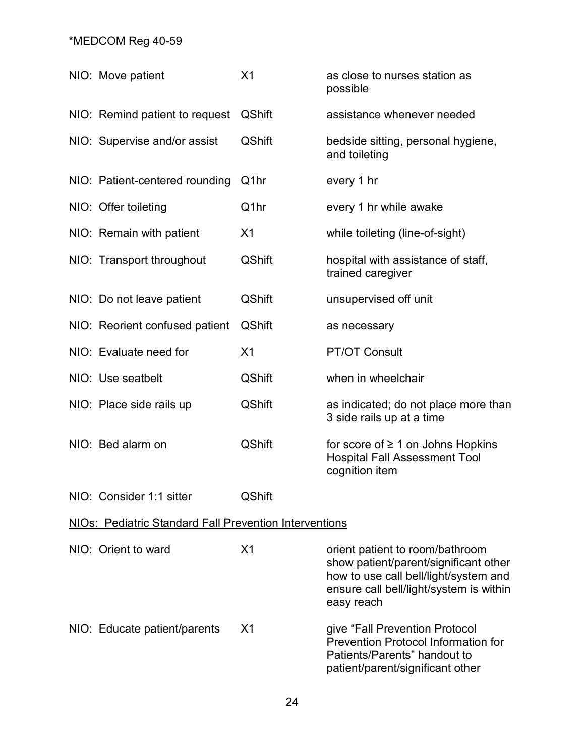| NIO: Move patient                                             | X <sub>1</sub>    | as close to nurses station as<br>possible                                                                                                                                  |
|---------------------------------------------------------------|-------------------|----------------------------------------------------------------------------------------------------------------------------------------------------------------------------|
| NIO: Remind patient to request                                | <b>QShift</b>     | assistance whenever needed                                                                                                                                                 |
| NIO: Supervise and/or assist                                  | <b>QShift</b>     | bedside sitting, personal hygiene,<br>and toileting                                                                                                                        |
| NIO: Patient-centered rounding                                | Q <sub>1</sub> hr | every 1 hr                                                                                                                                                                 |
| NIO: Offer toileting                                          | Q1hr              | every 1 hr while awake                                                                                                                                                     |
| NIO: Remain with patient                                      | X <sub>1</sub>    | while toileting (line-of-sight)                                                                                                                                            |
| NIO: Transport throughout                                     | <b>QShift</b>     | hospital with assistance of staff,<br>trained caregiver                                                                                                                    |
| NIO: Do not leave patient                                     | <b>QShift</b>     | unsupervised off unit                                                                                                                                                      |
| NIO: Reorient confused patient                                | <b>QShift</b>     | as necessary                                                                                                                                                               |
| NIO: Evaluate need for                                        | X <sub>1</sub>    | <b>PT/OT Consult</b>                                                                                                                                                       |
| NIO: Use seatbelt                                             | <b>QShift</b>     | when in wheelchair                                                                                                                                                         |
| NIO: Place side rails up                                      | <b>QShift</b>     | as indicated; do not place more than<br>3 side rails up at a time                                                                                                          |
| NIO: Bed alarm on                                             | <b>QShift</b>     | for score of $\geq 1$ on Johns Hopkins<br><b>Hospital Fall Assessment Tool</b><br>cognition item                                                                           |
| NIO: Consider 1:1 sitter                                      | <b>QShift</b>     |                                                                                                                                                                            |
| <b>NIOs: Pediatric Standard Fall Prevention Interventions</b> |                   |                                                                                                                                                                            |
| NIO: Orient to ward                                           | X <sub>1</sub>    | orient patient to room/bathroom<br>show patient/parent/significant other<br>how to use call bell/light/system and<br>ensure call bell/light/system is within<br>easy reach |
| NIO: Educate patient/parents                                  | X <sub>1</sub>    | give "Fall Prevention Protocol<br>Prevention Protocol Information for<br>Patients/Parents" handout to<br>patient/parent/significant other                                  |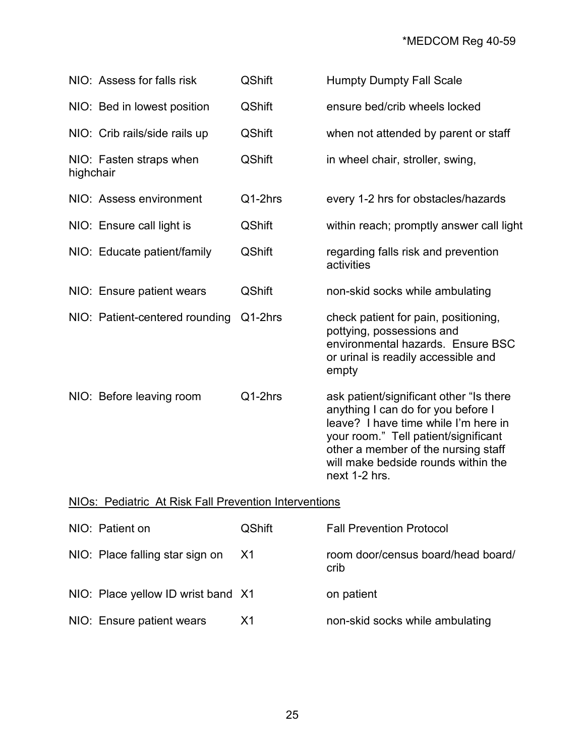|           | NIO: Assess for falls risk     | <b>QShift</b> | <b>Humpty Dumpty Fall Scale</b>                                                                                                                                                                                                                              |
|-----------|--------------------------------|---------------|--------------------------------------------------------------------------------------------------------------------------------------------------------------------------------------------------------------------------------------------------------------|
|           | NIO: Bed in lowest position    | <b>QShift</b> | ensure bed/crib wheels locked                                                                                                                                                                                                                                |
|           | NIO: Crib rails/side rails up  | <b>QShift</b> | when not attended by parent or staff                                                                                                                                                                                                                         |
| highchair | NIO: Fasten straps when        | <b>QShift</b> | in wheel chair, stroller, swing,                                                                                                                                                                                                                             |
|           | NIO: Assess environment        | Q1-2hrs       | every 1-2 hrs for obstacles/hazards                                                                                                                                                                                                                          |
|           | NIO: Ensure call light is      | <b>QShift</b> | within reach; promptly answer call light                                                                                                                                                                                                                     |
|           | NIO: Educate patient/family    | <b>QShift</b> | regarding falls risk and prevention<br>activities                                                                                                                                                                                                            |
|           | NIO: Ensure patient wears      | <b>QShift</b> | non-skid socks while ambulating                                                                                                                                                                                                                              |
|           | NIO: Patient-centered rounding | Q1-2hrs       | check patient for pain, positioning,<br>pottying, possessions and<br>environmental hazards. Ensure BSC<br>or urinal is readily accessible and<br>empty                                                                                                       |
|           | NIO: Before leaving room       | Q1-2hrs       | ask patient/significant other "Is there<br>anything I can do for you before I<br>leave? I have time while I'm here in<br>your room." Tell patient/significant<br>other a member of the nursing staff<br>will make bedside rounds within the<br>next 1-2 hrs. |

## NIOs: Pediatric At Risk Fall Prevention Interventions

| NIO: Patient on                    | <b>QShift</b> | <b>Fall Prevention Protocol</b>            |
|------------------------------------|---------------|--------------------------------------------|
| NIO: Place falling star sign on    | <b>X1</b>     | room door/census board/head board/<br>crib |
| NIO: Place yellow ID wrist band X1 |               | on patient                                 |
| NIO: Ensure patient wears          | X1            | non-skid socks while ambulating            |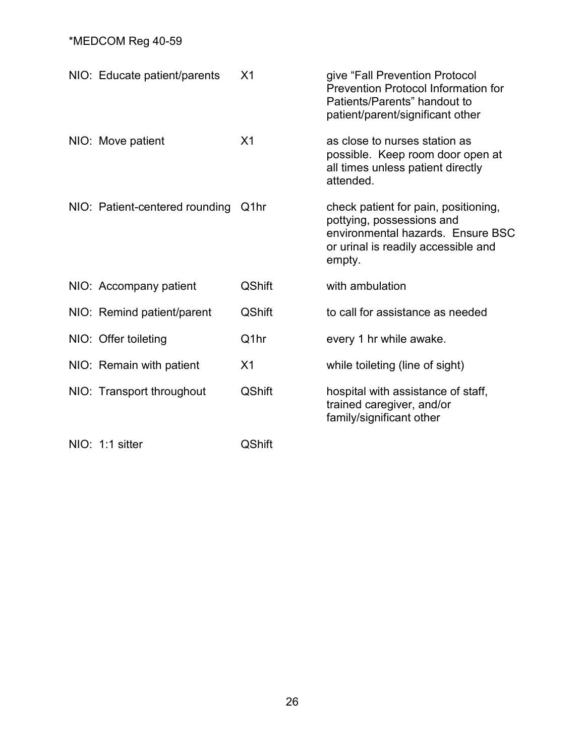| NIO: Educate patient/parents   | X <sub>1</sub> | give "Fall Prevention Protocol<br><b>Prevention Protocol Information for</b><br>Patients/Parents" handout to<br>patient/parent/significant other        |
|--------------------------------|----------------|---------------------------------------------------------------------------------------------------------------------------------------------------------|
| NIO: Move patient              | X <sub>1</sub> | as close to nurses station as<br>possible. Keep room door open at<br>all times unless patient directly<br>attended.                                     |
| NIO: Patient-centered rounding | Q1hr           | check patient for pain, positioning,<br>pottying, possessions and<br>environmental hazards. Ensure BSC<br>or urinal is readily accessible and<br>empty. |
| NIO: Accompany patient         | <b>QShift</b>  | with ambulation                                                                                                                                         |
| NIO: Remind patient/parent     | <b>QShift</b>  | to call for assistance as needed                                                                                                                        |
| NIO: Offer toileting           | Q1hr           | every 1 hr while awake.                                                                                                                                 |
| NIO: Remain with patient       | X <sub>1</sub> | while toileting (line of sight)                                                                                                                         |
| NIO: Transport throughout      | <b>QShift</b>  | hospital with assistance of staff,<br>trained caregiver, and/or<br>family/significant other                                                             |
| NIO: 1:1 sitter                | <b>QShift</b>  |                                                                                                                                                         |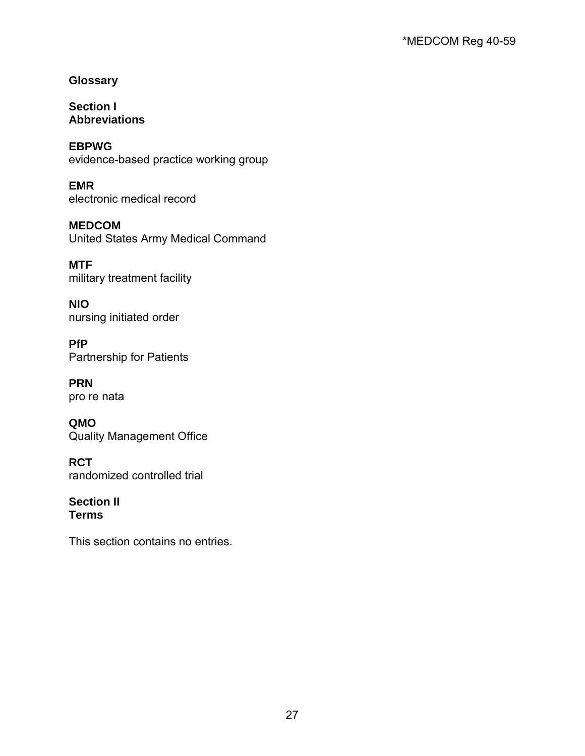**Glossary**

**Section I Abbreviations**

**EBPWG** evidence-based practice working group

**EMR** electronic medical record

**MEDCOM** United States Army Medical Command

**MTF** military treatment facility

**NIO** nursing initiated order

**PfP** Partnership for Patients

**PRN** pro re nata

**QMO** Quality Management Office

**RCT** randomized controlled trial

**Section II Terms**

This section contains no entries.